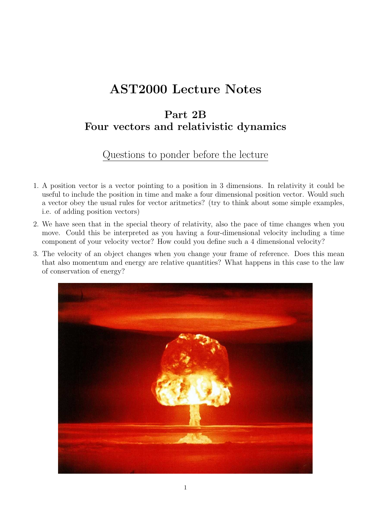# AST2000 Lecture Notes

# Part 2B Four vectors and relativistic dynamics

# Questions to ponder before the lecture

- 1. A position vector is a vector pointing to a position in 3 dimensions. In relativity it could be useful to include the position in time and make a four dimensional position vector. Would such a vector obey the usual rules for vector aritmetics? (try to think about some simple examples, i.e. of adding position vectors)
- 2. We have seen that in the special theory of relativity, also the pace of time changes when you move. Could this be interpreted as you having a four-dimensional velocity including a time component of your velocity vector? How could you define such a 4 dimensional velocity?
- 3. The velocity of an object changes when you change your frame of reference. Does this mean that also momentum and energy are relative quantities? What happens in this case to the law of conservation of energy?

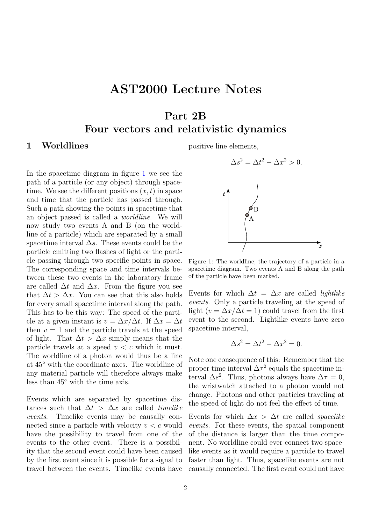# AST2000 Lecture Notes

# Part 2B

## Four vectors and relativistic dynamics

#### <span id="page-1-1"></span>1 Worldlines

In the spacetime diagram in figure [1](#page-1-0) we see the path of a particle (or any object) through spacetime. We see the different positions  $(x, t)$  in space and time that the particle has passed through. Such a path showing the points in spacetime that an object passed is called a worldline. We will now study two events A and B (on the worldline of a particle) which are separated by a small spacetime interval  $\Delta s$ . These events could be the particle emitting two flashes of light or the particle passing through two specific points in space. The corresponding space and time intervals between these two events in the laboratory frame are called  $\Delta t$  and  $\Delta x$ . From the figure you see that  $\Delta t > \Delta x$ . You can see that this also holds for every small spacetime interval along the path. This has to be this way: The speed of the particle at a given instant is  $v = \Delta x/\Delta t$ . If  $\Delta x = \Delta t$ then  $v = 1$  and the particle travels at the speed of light. That  $\Delta t > \Delta x$  simply means that the particle travels at a speed  $v < c$  which it must. The worldline of a photon would thus be a line at 45◦ with the coordinate axes. The worldline of any material particle will therefore always make less than 45◦ with the time axis.

Events which are separated by spacetime distances such that  $\Delta t > \Delta x$  are called *timelike* events. Timelike events may be causally connected since a particle with velocity  $v < c$  would have the possibility to travel from one of the events to the other event. There is a possibility that the second event could have been caused by the first event since it is possible for a signal to travel between the events. Timelike events have positive line elements,

$$
\Delta s^2 = \Delta t^2 - \Delta x^2 > 0.
$$



<span id="page-1-0"></span>Figure 1: The worldline, the trajectory of a particle in a spacetime diagram. Two events A and B along the path of the particle have been marked.

Events for which  $\Delta t = \Delta x$  are called *lightlike* events. Only a particle traveling at the speed of light ( $v = \Delta x / \Delta t = 1$ ) could travel from the first event to the second. Lightlike events have zero spacetime interval,

$$
\Delta s^2 = \Delta t^2 - \Delta x^2 = 0.
$$

Note one consequence of this: Remember that the proper time interval  $\Delta \tau^2$  equals the spacetime interval  $\Delta s^2$ . Thus, photons always have  $\Delta \tau = 0$ , the wristwatch attached to a photon would not change. Photons and other particles traveling at the speed of light do not feel the effect of time.

Events for which  $\Delta x > \Delta t$  are called *spacelike* events. For these events, the spatial component of the distance is larger than the time component. No worldline could ever connect two spacelike events as it would require a particle to travel faster than light. Thus, spacelike events are not causally connected. The first event could not have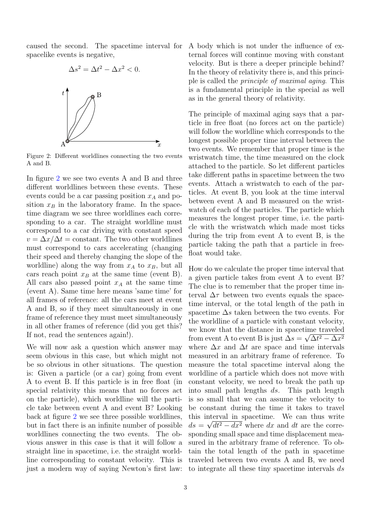caused the second. The spacetime interval for spacelike events is negative,



<span id="page-2-0"></span>Figure 2: Different worldlines connecting the two events A and B.

In figure [2](#page-2-0) we see two events A and B and three different worldlines between these events. These events could be a car passing position  $x_A$  and position  $x_B$  in the laboratory frame. In the spacetime diagram we see three worldlines each corresponding to a car. The straight worldline must correspond to a car driving with constant speed  $v = \Delta x / \Delta t =$ constant. The two other worldlines must correspond to cars accelerating (changing their speed and thereby changing the slope of the worldline) along the way from  $x_A$  to  $x_B$ , but all cars reach point  $x_B$  at the same time (event B). All cars also passed point  $x_A$  at the same time (event A). Same time here means 'same time' for all frames of reference: all the cars meet at event A and B, so if they meet simultaneously in one frame of reference they must meet simultaneously in all other frames of reference (did you get this? If not, read the sentences again!).

We will now ask a question which answer may seem obvious in this case, but which might not be so obvious in other situations. The question is: Given a particle (or a car) going from event A to event B. If this particle is in free float (in special relativity this means that no forces act on the particle), which worldline will the particle take between event A and event B? Looking back at figure [2](#page-2-0) we see three possible worldlines, but in fact there is an infinite number of possible worldlines connecting the two events. The obvious answer in this case is that it will follow a straight line in spacetime, i.e. the straight worldline corresponding to constant velocity. This is just a modern way of saying Newton's first law:

A body which is not under the influence of external forces will continue moving with constant velocity. But is there a deeper principle behind? In the theory of relativity there is, and this principle is called the principle of maximal aging. This is a fundamental principle in the special as well as in the general theory of relativity.

The principle of maximal aging says that a particle in free float (no forces act on the particle) will follow the worldline which corresponds to the longest possible proper time interval between the two events. We remember that proper time is the wristwatch time, the time measured on the clock attached to the particle. So let different particles take different paths in spacetime between the two events. Attach a wristwatch to each of the particles. At event B, you look at the time interval between event A and B measured on the wristwatch of each of the particles. The particle which measures the longest proper time, i.e. the particle with the wristwatch which made most ticks during the trip from event A to event B, is the particle taking the path that a particle in freefloat would take.

How do we calculate the proper time interval that a given particle takes from event A to event B? The clue is to remember that the proper time interval  $\Delta \tau$  between two events equals the spacetime interval, or the total length of the path in spacetime  $\Delta s$  taken between the two events. For the worldline of a particle with constant velocity, we know that the distance in spacetime traveled from event A to event B is just  $\Delta s = \sqrt{\Delta t^2 - \Delta x^2}$ where  $\Delta x$  and  $\Delta t$  are space and time intervals measured in an arbitrary frame of reference. To measure the total spacetime interval along the worldline of a particle which does not move with constant velocity, we need to break the path up into small path lengths ds. This path length is so small that we can assume the velocity to be constant during the time it takes to travel this interval in spacetime. We can thus write  $ds = \sqrt{dt^2 - dx^2}$  where dx and dt are the corresponding small space and time displacement measured in the arbitrary frame of reference. To obtain the total length of the path in spacetime traveled between two events A and B, we need to integrate all these tiny spacetime intervals ds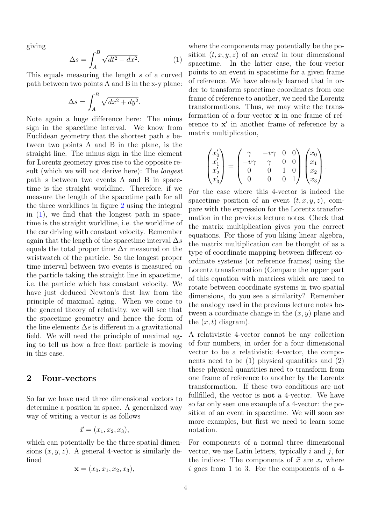giving

<span id="page-3-0"></span>
$$
\Delta s = \int_{A}^{B} \sqrt{dt^2 - dx^2}.
$$
 (1)

This equals measuring the length s of a curved path between two points A and B in the x-y plane:

$$
\Delta s = \int_A^B \sqrt{dx^2 + dy^2}.
$$

Note again a huge difference here: The minus sign in the spacetime interval. We know from Euclidean geometry that the shortest path s between two points A and B in the plane, is the straight line. The minus sign in the line element for Lorentz geometry gives rise to the opposite result (which we will not derive here): The *longest* path s between two events A and B in spacetime is the straight worldline. Therefore, if we measure the length of the spacetime path for all the three worldlines in figure [2](#page-2-0) using the integral in  $(1)$ , we find that the longest path in spacetime is the straight worldline, i.e. the worldline of the car driving with constant velocity. Remember again that the length of the spacetime interval  $\Delta s$ equals the total proper time  $\Delta \tau$  measured on the wristwatch of the particle. So the longest proper time interval between two events is measured on the particle taking the straight line in spacetime, i.e. the particle which has constant velocity. We have just deduced Newton's first law from the principle of maximal aging. When we come to the general theory of relativity, we will see that the spacetime geometry and hence the form of the line elements  $\Delta s$  is different in a gravitational field. We will need the principle of maximal aging to tell us how a free float particle is moving in this case.

### <span id="page-3-1"></span>2 Four-vectors

So far we have used three dimensional vectors to determine a position in space. A generalized way way of writing a vector is as follows

$$
\vec{x} = (x_1, x_2, x_3),
$$

which can potentially be the three spatial dimensions  $(x, y, z)$ . A general 4-vector is similarly defined

$$
\mathbf{x} = (x_0, x_1, x_2, x_3),
$$

where the components may potentially be the position  $(t, x, y, z)$  of an *event* in four dimensional spacetime. In the latter case, the four-vector points to an event in spacetime for a given frame of reference. We have already learned that in order to transform spacetime coordinates from one frame of reference to another, we need the Lorentz transformations. Thus, we may write the transformation of a four-vector x in one frame of reference to  $x'$  in another frame of reference by a matrix multiplication,

$$
\begin{pmatrix} x_0' \\ x_1' \\ x_2' \\ x_3' \end{pmatrix} = \begin{pmatrix} \gamma & -v\gamma & 0 & 0 \\ -v\gamma & \gamma & 0 & 0 \\ 0 & 0 & 1 & 0 \\ 0 & 0 & 0 & 1 \end{pmatrix} \begin{pmatrix} x_0 \\ x_1 \\ x_2 \\ x_3 \end{pmatrix}.
$$

For the case where this 4-vector is indeed the spacetime position of an event  $(t, x, y, z)$ , compare with the expression for the Lorentz transformation in the previous lecture notes. Check that the matrix multiplication gives you the correct equations. For those of you liking linear algebra, the matrix multiplication can be thought of as a type of coordinate mapping between different coordinate systems (or reference frames) using the Lorentz transformation (Compare the upper part of this equation with matrices which are used to rotate between coordinate systems in two spatial dimensions, do you see a similarity? Remember the analogy used in the previous lecture notes between a coordinate change in the  $(x, y)$  plane and the  $(x, t)$  diagram).

A relativistic 4-vector cannot be any collection of four numbers, in order for a four dimensional vector to be a relativistic 4-vector, the components need to be  $(1)$  physical quantities and  $(2)$ these physical quantities need to transform from one frame of reference to another by the Lorentz transformation. If these two conditions are not fullfilled, the vector is not a 4-vector. We have so far only seen one example of a 4-vector: the position of an event in spacetime. We will soon see more examples, but first we need to learn some notation.

For components of a normal three dimensional vector, we use Latin letters, typically  $i$  and  $j$ , for the indices: The components of  $\vec{x}$  are  $x_i$  where i goes from 1 to 3. For the components of a 4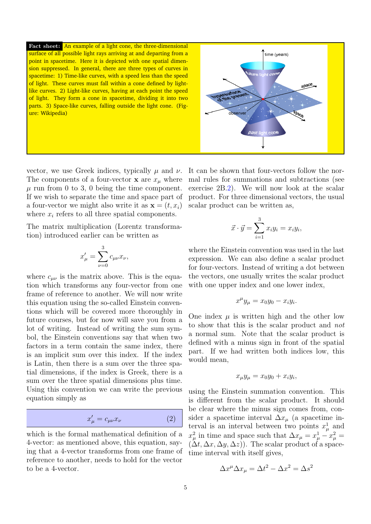Fact sheet: An example of a light cone, the three-dimensional surface of all possible light rays arriving at and departing from a point in spacetime. Here it is depicted with one spatial dimension suppressed. In general, there are three types of curves in spacetime: 1) Time-like curves, with a speed less than the speed of light. These curves must fall within a cone defined by lightlike curves. 2) Light-like curves, having at each point the speed of light. They form a cone in spacetime, dividing it into two parts. 3) Space-like curves, falling outside the light cone. (Figure: Wikipedia)

vector, we use Greek indices, typically  $\mu$  and  $\nu$ . The components of a four-vector **x** are  $x_{\mu}$  where  $\mu$  run from 0 to 3, 0 being the time component. If we wish to separate the time and space part of a four-vector we might also write it as  $\mathbf{x} = (t, x_i)$ where  $x_i$  refers to all three spatial components.

The matrix multiplication (Lorentz transformation) introduced earlier can be written as

$$
x'_{\mu} = \sum_{\nu=0}^{3} c_{\mu\nu} x_{\nu},
$$

where  $c_{\mu\nu}$  is the matrix above. This is the equation which transforms any four-vector from one frame of reference to another. We will now write this equation using the so-called Einstein conventions which will be covered more thoroughly in future courses, but for now will save you from a lot of writing. Instead of writing the sum symbol, the Einstein conventions say that when two factors in a term contain the same index, there is an implicit sum over this index. If the index is Latin, then there is a sum over the three spatial dimensions, if the index is Greek, there is a sum over the three spatial dimensions plus time. Using this convention we can write the previous equation simply as

<span id="page-4-0"></span>
$$
x'_{\mu} = c_{\mu\nu} x_{\nu} \tag{2}
$$

which is the formal mathematical definition of a 4-vector: as mentioned above, this equation, saying that a 4-vector transforms from one frame of reference to another, needs to hold for the vector to be a 4-vector.



$$
\vec{x} \cdot \vec{y} = \sum_{i=1}^{3} x_i y_i = x_i y_i,
$$

where the Einstein convention was used in the last expression. We can also define a scalar product for four-vectors. Instead of writing a dot between the vectors, one usually writes the scalar product with one upper index and one lower index,

$$
x^{\mu}y_{\mu} = x_0y_0 - x_iy_i.
$$

One index  $\mu$  is written high and the other low to show that this is the scalar product and not a normal sum. Note that the scalar product is defined with a minus sign in front of the spatial part. If we had written both indices low, this would mean,

$$
x_{\mu}y_{\mu} = x_0y_0 + x_iy_i,
$$

using the Einstein summation convention. This is different from the scalar product. It should be clear where the minus sign comes from, consider a spacetime interval  $\Delta x_{\mu}$  (a spacetime interval is an interval between two points  $x^1_\mu$  and  $x_{\mu}^2$  in time and space such that  $\Delta x_{\mu} = x_{\mu}^1 - x_{\mu}^2 =$  $(\Delta t, \Delta x, \Delta y, \Delta z)$ . The scalar product of a spacetime interval with itself gives,

$$
\Delta x^{\mu} \Delta x_{\mu} = \Delta t^2 - \Delta x^2 = \Delta s^2
$$

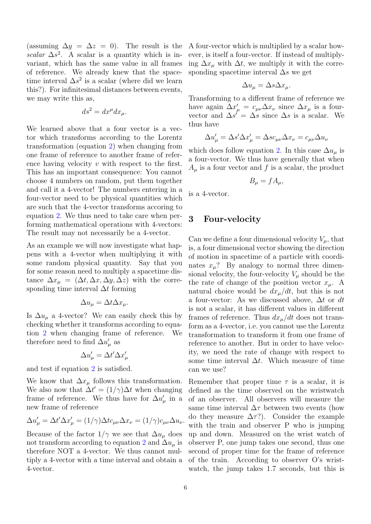(assuming  $\Delta y = \Delta z = 0$ ). The result is the scalar  $\Delta s^2$ . A scalar is a quantity which is invariant, which has the same value in all frames of reference. We already knew that the spacetime interval  $\Delta s^2$  is a scalar (where did we learn this?). For infinitesimal distances between events, we may write this as,

$$
ds^2 = dx^{\mu} dx_{\mu}.
$$

We learned above that a four vector is a vector which transforms according to the Lorentz transformation (equation [2\)](#page-4-0) when changing from one frame of reference to another frame of reference having velocity v with respect to the first. This has an important consequence: You cannot choose 4 numbers on random, put them together and call it a 4-vector! The numbers entering in a four-vector need to be physical quantities which are such that the 4-vector transforms accoring to equation [2.](#page-4-0) We thus need to take care when performing mathematical operations with 4-vectors: The result may not necessarily be a 4-vector.

As an example we will now investigate what happens with a 4-vector when multiplying it with some random physical quantity. Say that you for some reason need to multiply a spacetime distance  $\Delta x_{\mu} = (\Delta t, \Delta x, \Delta y, \Delta z)$  with the corresponding time interval  $\Delta t$  forming

$$
\Delta u_{\mu} = \Delta t \Delta x_{\mu}.
$$

Is  $\Delta u_{\mu}$  a 4-vector? We can easily check this by checking whether it transforms according to equation [2](#page-4-0) when changing frame of reference. We therefore need to find  $\Delta u'_{\mu}$  as

$$
\Delta u'_{\mu} = \Delta t' \Delta x'_{\mu}
$$

and test if equation [2](#page-4-0) is satisfied.

We know that  $\Delta x_{\mu}$  follows this transformation. We also now that  $\Delta t' = (1/\gamma)\Delta t$  when changing frame of reference. We thus have for  $\Delta u^{\prime}_{\mu}$  in a new frame of reference

$$
\Delta u'_{\mu} = \Delta t' \Delta x'_{\mu} = (1/\gamma) \Delta t c_{\mu\nu} \Delta x_{\nu} = (1/\gamma) c_{\mu\nu} \Delta u_{\nu}.
$$

Because of the factor  $1/\gamma$  we see that  $\Delta u_\mu$  does not transform according to equation [2](#page-4-0) and  $\Delta u_\mu$  is therefore NOT a 4-vector. We thus cannot multiply a 4-vector with a time interval and obtain a 4-vector.

A four-vector which is multiplied by a scalar however, is itself a four-vector. If instead of multiplying  $\Delta x_\mu$  with  $\Delta t$ , we multiply it with the corresponding spacetime interval  $\Delta s$  we get

$$
\Delta u_{\mu} = \Delta s \Delta x_{\mu}.
$$

Transforming to a different frame of reference we have again  $\Delta x'_{\mu} = c_{\mu\nu} \Delta x_{\nu}$  since  $\Delta x_{\mu}$  is a fourvector and  $\Delta s' = \Delta s$  since  $\Delta s$  is a scalar. We thus have

$$
\Delta u'_{\mu} = \Delta s' \Delta x'_{\mu} = \Delta s c_{\mu\nu} \Delta x_{\nu} = c_{\mu\nu} \Delta u_{\nu}
$$

which does follow equation [2.](#page-4-0) In this case  $\Delta u_\mu$  is a four-vector. We thus have generally that when  $A_{\mu}$  is a four vector and f is a scalar, the product

$$
B_{\mu} = f A_{\mu},
$$

is a 4-vector.

#### <span id="page-5-0"></span>3 Four-velocity

Can we define a four dimensional velocity  $V_{\mu}$ , that is, a four dimensional vector showing the direction of motion in spacetime of a particle with coordinates  $x_{\mu}$ ? By analogy to normal three dimensional velocity, the four-velocity  $V_\mu$  should be the the rate of change of the position vector  $x_u$ . A natural choice would be  $dx_{\mu}/dt$ , but this is not a four-vector: As we discussed above,  $\Delta t$  or dt is not a scalar, it has different values in different frames of reference. Thus  $dx_{\mu}/dt$  does not transform as a 4-vector, i.e. you cannot use the Lorentz transformation to transform it from one frame of reference to another. But in order to have velocity, we need the rate of change with respect to some time interval  $\Delta t$ . Which measure of time can we use?

Remember that proper time  $\tau$  is a scalar, it is defined as the time observed on the wristwatch of an observer. All observers will measure the same time interval  $\Delta \tau$  between two events (how do they measure  $\Delta \tau$ ?). Consider the example with the train and observer P who is jumping up and down. Measured on the wrist watch of observer P, one jump takes one second, thus one second of proper time for the frame of reference of the train. According to observer O's wristwatch, the jump takes 1.7 seconds, but this is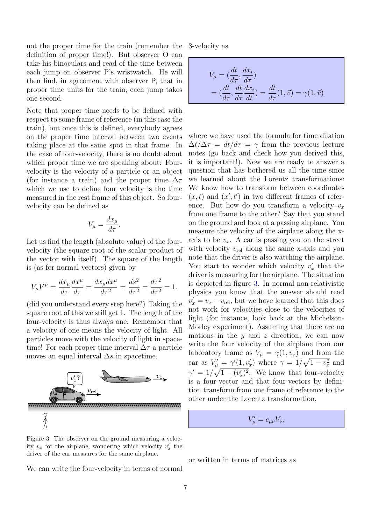not the proper time for the train (remember the definition of proper time!). But observer O can take his binoculars and read of the time between each jump on observer P's wristwatch. He will then find, in agreement with observer P, that in proper time units for the train, each jump takes one second.

Note that proper time needs to be defined with respect to some frame of reference (in this case the train), but once this is defined, everybody agrees on the proper time interval between two events taking place at the same spot in that frame. In the case of four-velocity, there is no doubt about which proper time we are speaking about: Fourvelocity is the velocity of a particle or an object (for instance a train) and the proper time  $\Delta \tau$ which we use to define four velocity is the time measured in the rest frame of this object. So fourvelocity can be defined as

$$
V_{\mu} = \frac{dx_{\mu}}{d\tau}.
$$

Let us find the length (absolute value) of the fourvelocity (the square root of the scalar product of the vector with itself). The square of the length is (as for normal vectors) given by

$$
V_{\mu}V^{\mu} = \frac{dx_{\mu}}{d\tau}\frac{dx^{\mu}}{d\tau} = \frac{dx_{\mu}dx^{\mu}}{d\tau^{2}} = \frac{ds^{2}}{d\tau^{2}} = \frac{d\tau^{2}}{d\tau^{2}} = 1.
$$

(did you understand every step here?) Taking the square root of this we still get 1. The length of the four-velocity is thus always one. Remember that a velocity of one means the velocity of light. All particles move with the velocity of light in spacetime! For each proper time interval  $\Delta \tau$  a particle moves an equal interval  $\Delta s$  in spacetime.



<span id="page-6-0"></span>Figure 3: The observer on the ground measuring a velocity  $v_x$  for the airplane, wondering which velocity  $v'_x$  the driver of the car measures for the same airplane.

We can write the four-velocity in terms of normal

3-velocity as

$$
V_{\mu} = \left(\frac{dt}{d\tau}, \frac{dx_i}{d\tau}\right)
$$
  
=  $\left(\frac{dt}{d\tau}, \frac{dt}{d\tau} \frac{dx_i}{dt}\right) = \frac{dt}{d\tau}(1, \vec{v}) = \gamma(1, \vec{v})$ 

where we have used the formula for time dilation  $\Delta t/\Delta \tau = dt/d\tau = \gamma$  from the previous lecture notes (go back and check how you derived this, it is important!). Now we are ready to answer a question that has bothered us all the time since we learned about the Lorentz transformations: We know how to transform between coordinates  $(x, t)$  and  $(x', t')$  in two different frames of reference. But how do you transform a velocity  $v_x$ from one frame to the other? Say that you stand on the ground and look at a passing airplane. You measure the velocity of the airplane along the xaxis to be  $v_x$ . A car is passing you on the street with velocity  $v_{\text{rel}}$  along the same x-axis and you note that the driver is also watching the airplane. You start to wonder which velocity  $v'_x$  that the driver is measuring for the airplane. The situation is depicted in figure [3.](#page-6-0) In normal non-relativistic physics you know that the answer should read  $v'_x = v_x - v_{rel}$ , but we have learned that this does not work for velocities close to the velocities of light (for instance, look back at the Michelson-Morley experiment). Assuming that there are no motions in the  $y$  and  $z$  direction, we can now write the four velocity of the airplane from our laboratory frame as  $V_{\mu} = \gamma(1, v_x)$  and from the car as  $V_{\mu}' = \gamma'(1, v_x')$  where  $\gamma = 1/\sqrt{1 - v_x^2}$  and  $\gamma' = 1/\sqrt{1-(v'_x)^2}$ . We know that four-velocity is a four-vector and that four-vectors by definition transform from one frame of reference to the other under the Lorentz transformation,

 $V'_{\mu} = c_{\mu\nu} V_{\nu},$ 

or written in terms of matrices as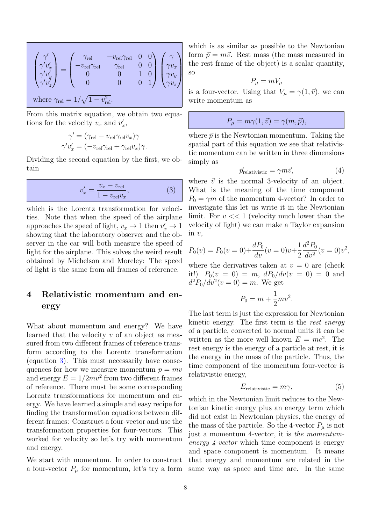$$
\begin{pmatrix} \gamma' \\ \gamma' v'_x \\ \gamma' v'_y \\ \gamma' v'_z \end{pmatrix} = \begin{pmatrix} \gamma_{\rm rel} & -v_{\rm rel} \gamma_{\rm rel} & 0 & 0 \\ -v_{\rm rel} \gamma_{\rm rel} & \gamma_{\rm rel} & 0 & 0 \\ 0 & 0 & 1 & 0 \\ 0 & 0 & 0 & 1 \end{pmatrix} \begin{pmatrix} \gamma \\ \gamma v_x \\ \gamma v_y \\ \gamma v_z \end{pmatrix}
$$
  
where  $\gamma_{\rm rel} = 1/\sqrt{1 - v_{\rm rel}^2}$ .

From this matrix equation, we obtain two equations for the velocity  $v_x$  and  $v'_x$ ,

$$
\gamma' = (\gamma_{\text{rel}} - v_{\text{rel}}\gamma_{\text{rel}}v_x)\gamma
$$
  

$$
\gamma'v'_x = (-v_{\text{rel}}\gamma_{\text{rel}} + \gamma_{\text{rel}}v_x)\gamma.
$$

Dividing the second equation by the first, we obtain

<span id="page-7-0"></span>
$$
v_x' = \frac{v_x - v_{\text{rel}}}{1 - v_{\text{rel}}v_x},
$$
(3)

which is the Lorentz transformation for velocities. Note that when the speed of the airplane approaches the speed of light,  $v_x \to 1$  then  $v'_x \to 1$ showing that the laboratory observer and the observer in the car will both measure the speed of light for the airplane. This solves the weird result obtained by Michelson and Moreley: The speed of light is the same from all frames of reference.

## <span id="page-7-3"></span>4 Relativistic momentum and energy

What about momentum and energy? We have learned that the velocity v of an object as measured from two different frames of reference transform according to the Lorentz transformation (equation [3\)](#page-7-0). This must necessarily have consequences for how we measure momentum  $p = mv$ and energy  $E = 1/2mv^2$  from two different frames of reference. There must be some corresponding Lorentz transformations for momentum and energy. We have learned a simple and easy recipe for finding the transformation equations between different frames: Construct a four-vector and use the transformation properties for four-vectors. This worked for velocity so let's try with momentum and energy.

We start with momentum. In order to construct a four-vector  $P_{\mu}$  for momentum, let's try a form which is as similar as possible to the Newtonian form  $\vec{p} = m\vec{v}$ . Rest mass (the mass measured in the rest frame of the object) is a scalar quantity, so

$$
P_{\mu} = mV_{\mu}
$$

is a four-vector. Using that  $V_{\mu} = \gamma(1, \vec{v})$ , we can write momentum as

$$
P_{\mu} = m\gamma(1, \vec{v}) = \gamma(m, \vec{p}),
$$

where  $\vec{p}$  is the Newtonian momentum. Taking the spatial part of this equation we see that relativistic momentum can be written in three dimensions simply as

<span id="page-7-1"></span>
$$
\vec{p}_{\text{relativistic}} = \gamma m \vec{v},\tag{4}
$$

where  $\vec{v}$  is the normal 3-velocity of an object. What is the meaning of the time component  $P_0 = \gamma m$  of the momentum 4-vector? In order to investigate this let us write it in the Newtonian limit. For  $v \ll 1$  (velocity much lower than the velocity of light) we can make a Taylor expansion in v,

$$
P_0(v) = P_0(v=0) + \frac{dP_0}{dv}(v=0)v + \frac{1}{2}\frac{d^2P_0}{dv^2}(v=0)v^2,
$$

where the derivatives taken at  $v = 0$  are (check it!)  $P_0(v = 0) = m$ ,  $dP_0/dv(v = 0) = 0$  and  $d^2P_0/dv^2(v=0) = m$ . We get

$$
P_0 = m + \frac{1}{2}mv^2.
$$

The last term is just the expression for Newtonian kinetic energy. The first term is the rest energy of a particle, converted to normal units it can be written as the more well known  $E = mc^2$ . The rest energy is the energy of a particle at rest, it is the energy in the mass of the particle. Thus, the time component of the momentum four-vector is relativistic energy,

<span id="page-7-2"></span>
$$
E_{\text{relativistic}} = m\gamma,\tag{5}
$$

which in the Newtonian limit reduces to the Newtonian kinetic energy plus an energy term which did not exist in Newtonian physics, the energy of the mass of the particle. So the 4-vector  $P_\mu$  is not just a momentum 4-vector, it is the momentumenergy 4-vector which time component is energy and space component is momentum. It means that energy and momentum are related in the same way as space and time are. In the same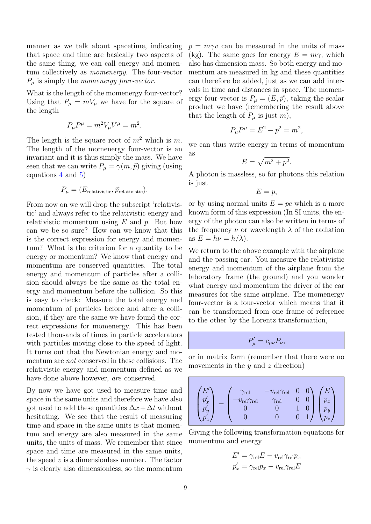manner as we talk about spacetime, indicating that space and time are basically two aspects of the same thing, we can call energy and momentum collectively as momenergy. The four-vector  $P_{\mu}$  is simply the *momenergy four-vector*.

What is the length of the momenergy four-vector? Using that  $P_{\mu} = mV_{\mu}$  we have for the square of the length

$$
P_{\mu}P^{\mu} = m^2 V_{\mu}V^{\mu} = m^2.
$$

The length is the square root of  $m^2$  which is m. The length of the momenergy four-vector is an invariant and it is thus simply the mass. We have seen that we can write  $P_{\mu} = \gamma(m, \vec{p})$  giving (using equations [4](#page-7-1) and [5\)](#page-7-2)

$$
P_{\mu} = (E_{\text{relativistic}}, \vec{p}_{\text{relativistic}}).
$$

From now on we will drop the subscript 'relativistic' and always refer to the relativistic energy and relativistic momentum using  $E$  and  $p$ . But how can we be so sure? How can we know that this is the correct expression for energy and momentum? What is the criterion for a quantity to be energy or momentum? We know that energy and momentum are conserved quantities. The total energy and momentum of particles after a collision should always be the same as the total energy and momentum before the collision. So this is easy to check: Measure the total energy and momentum of particles before and after a collision, if they are the same we have found the correct expressions for momenergy. This has been tested thousands of times in particle accelerators with particles moving close to the speed of light. It turns out that the Newtonian energy and momentum are not conserved in these collisions. The relativistic energy and momentum defined as we have done above however, are conserved.

By now we have got used to measure time and space in the same units and therefore we have also got used to add these quantities  $\Delta x + \Delta t$  without hesitating. We see that the result of measuring time and space in the same units is that momentum and energy are also measured in the same units, the units of mass. We remember that since space and time are measured in the same units, the speed  $v$  is a dimensionless number. The factor  $\gamma$  is clearly also dimensionless, so the momentum

 $p = m\gamma v$  can be measured in the units of mass (kg). The same goes for energy  $E = m\gamma$ , which also has dimension mass. So both energy and momentum are measured in kg and these quantities can therefore be added, just as we can add intervals in time and distances in space. The momenergy four-vector is  $P_{\mu} = (E, \vec{p})$ , taking the scalar product we have (remembering the result above that the length of  $P_\mu$  is just m),

$$
P_{\mu}P^{\mu} = E^2 - p^2 = m^2,
$$

we can thus write energy in terms of momentum as

$$
E = \sqrt{m^2 + p^2}.
$$

A photon is massless, so for photons this relation is just

$$
E=p,
$$

or by using normal units  $E = pc$  which is a more known form of this expression (In SI units, the energy of the photon can also be written in terms of the frequency  $\nu$  or wavelength  $\lambda$  of the radiation as  $E = h\nu = h/\lambda$ .

We return to the above example with the airplane and the passing car. You measure the relativistic energy and momentum of the airplane from the laboratory frame (the ground) and you wonder what energy and momentum the driver of the car measures for the same airplane. The momenergy four-vector is a four-vector which means that it can be transformed from one frame of reference to the other by the Lorentz transformation,

$$
P'_{\mu} = c_{\mu\nu} P_{\nu},
$$

or in matrix form (remember that there were no movements in the  $y$  and  $z$  direction)

$$
\begin{pmatrix} E' \\ p'_x \\ p'_y \\ p'_z \end{pmatrix} = \begin{pmatrix} \gamma_{\rm rel} & -v_{\rm rel} \gamma_{\rm rel} & 0 & 0 \\ -v_{\rm rel} \gamma_{\rm rel} & \gamma_{\rm rel} & 0 & 0 \\ 0 & 0 & 1 & 0 \\ 0 & 0 & 0 & 1 \end{pmatrix} \begin{pmatrix} E \\ p_x \\ p_y \\ p_z \end{pmatrix}
$$

Giving the following transformation equations for momentum and energy

$$
E' = \gamma_{\text{rel}} E - v_{\text{rel}} \gamma_{\text{rel}} p_x
$$
  

$$
p'_x = \gamma_{\text{rel}} p_x - v_{\text{rel}} \gamma_{\text{rel}} E
$$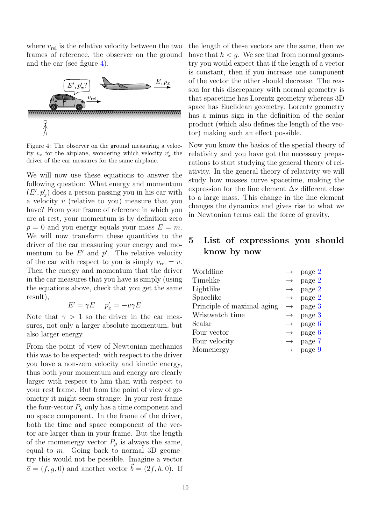where  $v_{rel}$  is the relative velocity between the two frames of reference, the observer on the ground and the car (see figure [4\)](#page-9-0).



<span id="page-9-0"></span>Figure 4: The observer on the ground measuring a velocity  $v_x$  for the airplane, wondering which velocity  $v'_x$  the driver of the car measures for the same airplane.

We will now use these equations to answer the following question: What energy and momentum  $(E', p'_x)$  does a person passing you in his car with a velocity v (relative to you) measure that you have? From your frame of reference in which you are at rest, your momentum is by definition zero  $p = 0$  and you energy equals your mass  $E = m$ . We will now transform these quantities to the driver of the car measuring your energy and momentum to be  $E'$  and  $p'$ . The relative velocity of the car with respect to you is simply  $v_{rel} = v$ . Then the energy and momentum that the driver in the car measures that you have is simply (using the equations above, check that you get the same result),

$$
E' = \gamma E \quad p'_x = -v\gamma E
$$

Note that  $\gamma > 1$  so the driver in the car measures, not only a larger absolute momentum, but also larger energy.

From the point of view of Newtonian mechanics this was to be expected: with respect to the driver you have a non-zero velocity and kinetic energy, thus both your momentum and energy are clearly larger with respect to him than with respect to your rest frame. But from the point of view of geometry it might seem strange: In your rest frame the four-vector  $P_\mu$  only has a time component and no space component. In the frame of the driver, both the time and space component of the vector are larger than in your frame. But the length of the momenergy vector  $P_{\mu}$  is always the same, equal to  $m$ . Going back to normal 3D geometry this would not be possible. Imagine a vector  $\vec{a} = (f, g, 0)$  and another vector  $\vec{b} = (2f, h, 0)$ . If the length of these vectors are the same, then we have that  $h < g$ . We see that from normal geometry you would expect that if the length of a vector is constant, then if you increase one component of the vector the other should decrease. The reason for this discrepancy with normal geometry is that spacetime has Lorentz geometry whereas 3D space has Euclidean geometry. Lorentz geometry has a minus sign in the definition of the scalar product (which also defines the length of the vector) making such an effect possible.

Now you know the basics of the special theory of relativity and you have got the necessary preparations to start studying the general theory of relativity. In the general theory of relativity we will study how masses curve spacetime, making the expression for the line element  $\Delta s$  different close to a large mass. This change in the line element changes the dynamics and gives rise to what we in Newtonian terms call the force of gravity.

## 5 List of expressions you should know by now

| Worldline                  |               | page 2 |
|----------------------------|---------------|--------|
| Timelike                   | $\rightarrow$ | page 2 |
| Lightlike                  | $\rightarrow$ | page 2 |
| Spacelike                  | $\rightarrow$ | page 2 |
| Principle of maximal aging | $\rightarrow$ | page 3 |
| Wristwatch time            | $\rightarrow$ | page 3 |
| Scalar                     | $\rightarrow$ | page 6 |
| Four vector                | $\rightarrow$ | page 6 |
| Four velocity              | $\rightarrow$ | page 7 |
| Momenergy                  | $\rightarrow$ | page 9 |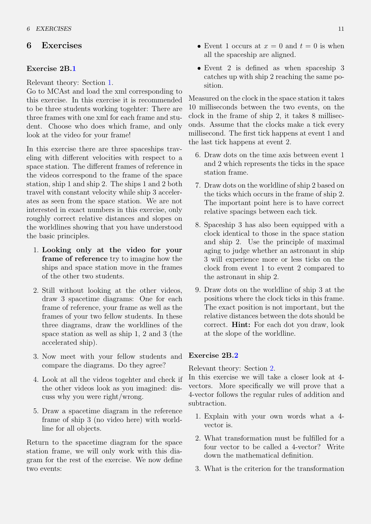#### 6 Exercises

#### <span id="page-10-1"></span>Exercise 2B[.1](#page-10-1)

Relevant theory: Section [1.](#page-1-1)

Go to MCAst and load the xml corresponding to this exercise. In this exercise it is recommended to be three students working togehter: There are three frames with one xml for each frame and student. Choose who does which frame, and only look at the video for your frame!

In this exercise there are three spaceships traveling with different velocities with respect to a space station. The different frames of reference in the videos correspond to the frame of the space station, ship 1 and ship 2. The ships 1 and 2 both travel with constant velocity while ship 3 accelerates as seen from the space station. We are not interested in exact numbers in this exercise, only roughly correct relative distances and slopes on the worldlines showing that you have understood the basic principles.

- 1. Looking only at the video for your frame of reference try to imagine how the ships and space station move in the frames of the other two students.
- 2. Still without looking at the other videos, draw 3 spacetime diagrams: One for each frame of reference, your frame as well as the frames of your two fellow students. In these three diagrams, draw the worldlines of the space station as well as ship 1, 2 and 3 (the accelerated ship).
- 3. Now meet with your fellow students and Exercise 2B[.2](#page-10-0) compare the diagrams. Do they agree?
- 4. Look at all the videos togehter and check if the other videos look as you imagined: discuss why you were right/wrong.
- 5. Draw a spacetime diagram in the reference frame of ship 3 (no video here) with worldline for all objects.

Return to the spacetime diagram for the space station frame, we will only work with this diagram for the rest of the exercise. We now define two events:

- Event 1 occurs at  $x = 0$  and  $t = 0$  is when all the spaceship are aligned.
- Event 2 is defined as when spaceship 3 catches up with ship 2 reaching the same position.

Measured on the clock in the space station it takes 10 milliseconds between the two events, on the clock in the frame of ship 2, it takes 8 milliseconds. Assume that the clocks make a tick every millisecond. The first tick happens at event 1 and the last tick happens at event 2.

- 6. Draw dots on the time axis between event 1 and 2 which represents the ticks in the space station frame.
- 7. Draw dots on the worldline of ship 2 based on the ticks which occurs in the frame of ship 2. The important point here is to have correct relative spacings between each tick.
- 8. Spaceship 3 has also been equipped with a clock identical to those in the space station and ship 2. Use the principle of maximal aging to judge whether an astronaut in ship 3 will experience more or less ticks on the clock from event 1 to event 2 compared to the astronaut in ship 2.
- 9. Draw dots on the worldline of ship 3 at the positions where the clock ticks in this frame. The exact position is not important, but the relative distances between the dots should be correct. Hint: For each dot you draw, look at the slope of the worldline.

<span id="page-10-0"></span>Relevant theory: Section [2.](#page-3-1)

In this exercise we will take a closer look at 4 vectors. More specifically we will prove that a 4-vector follows the regular rules of addition and subtraction.

- 1. Explain with your own words what a 4 vector is.
- 2. What transformation must be fulfilled for a four vector to be called a 4-vector? Write down the mathematical definition.
- 3. What is the criterion for the transformation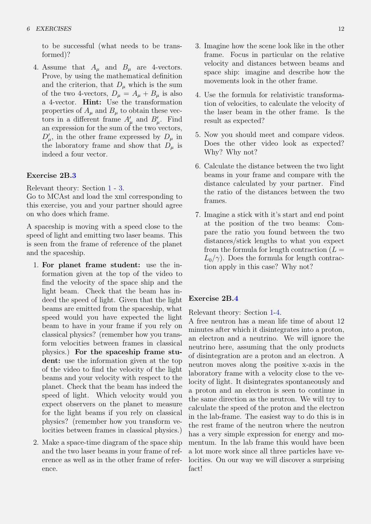to be successful (what needs to be transformed)?

4. Assume that  $A_\mu$  and  $B_\mu$  are 4-vectors. Prove, by using the mathematical definition and the criterion, that  $D_{\mu}$  which is the sum of the two 4-vectors,  $D_{\mu} = A_{\mu} + B_{\mu}$  is also a 4-vector. Hint: Use the transformation properties of  $A_\mu$  and  $B_\mu$  to obtain these vectors in a different frame  $A'_{\mu}$  and  $B'_{\mu}$ . Find an expression for the sum of the two vectors,  $D'_{\mu}$ , in the other frame expressed by  $D_{\mu}$  in the laboratory frame and show that  $D_{\mu}$  is indeed a four vector.

#### <span id="page-11-0"></span>Exercise 2B[.3](#page-11-0)

Relevant theory: Section [1](#page-1-1) - [3.](#page-5-0)

Go to MCAst and load the xml corresponding to this exercise, you and your partner should agree on who does which frame.

A spaceship is moving with a speed close to the speed of light and emitting two laser beams. This is seen from the frame of reference of the planet and the spaceship.

- 1. For planet frame student: use the information given at the top of the video to find the velocity of the space ship and the light beam. Check that the beam has indeed the speed of light. Given that the light beams are emitted from the spaceship, what speed would you have expected the light beam to have in your frame if you rely on classical physics? (remember how you transform velocities between frames in classical physics.) For the spaceship frame student: use the information given at the top of the video to find the velocity of the light beams and your velocity with respect to the planet. Check that the beam has indeed the speed of light. Which velocity would you expect observers on the planet to measure for the light beams if you rely on classical physics? (remember how you transform velocities between frames in classical physics.)
- 2. Make a space-time diagram of the space ship and the two laser beams in your frame of reference as well as in the other frame of reference.
- 3. Imagine how the scene look like in the other frame. Focus in particular on the relative velocity and distances between beams and space ship: imagine and describe how the movements look in the other frame.
- 4. Use the formula for relativistic transformation of velocities, to calculate the velocity of the laser beam in the other frame. Is the result as expected?
- 5. Now you should meet and compare videos. Does the other video look as expected? Why? Why not?
- 6. Calculate the distance between the two light beams in your frame and compare with the distance calculated by your partner. Find the ratio of the distances between the two frames.
- 7. Imagine a stick with it's start and end point at the position of the two beams: Compare the ratio you found between the two distances/stick lengths to what you expect from the formula for length contraction  $(L =$  $L_0/\gamma$ ). Does the formula for length contraction apply in this case? Why not?

#### <span id="page-11-1"></span>Exercise 2B[.4](#page-11-1)

Relevant theory: Section [1-](#page-1-1)[4.](#page-7-3)

A free neutron has a mean life time of about 12 minutes after which it disintegrates into a proton, an electron and a neutrino. We will ignore the neutrino here, assuming that the only products of disintegration are a proton and an electron. A neutron moves along the positive x-axis in the laboratory frame with a velocity close to the velocity of light. It disintegrates spontaneously and a proton and an electron is seen to continue in the same direction as the neutron. We will try to calculate the speed of the proton and the electron in the lab-frame. The easiest way to do this is in the rest frame of the neutron where the neutron has a very simple expression for energy and momentum. In the lab frame this would have been a lot more work since all three particles have velocities. On our way we will discover a surprising fact!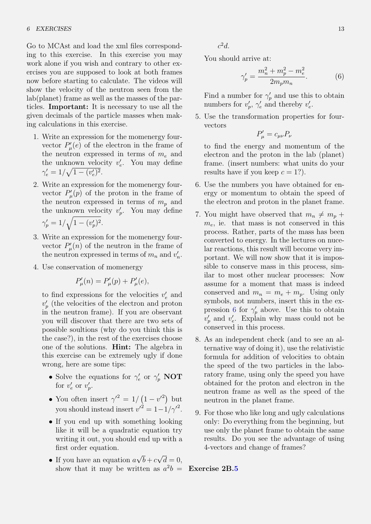Go to MCAst and load the xml files corresponding to this exercise. In this exercise you may work alone if you wish and contrary to other exercises you are supposed to look at both frames now before starting to calculate. The videos will show the velocity of the neutron seen from the lab(planet) frame as well as the masses of the particles. Important: It is necessary to use all the given decimals of the particle masses when making calculations in this exercise.

- 1. Write an expression for the momenergy fourvector  $P'_{\mu}(e)$  of the electron in the frame of the neutron expressed in terms of  $m_e$  and the unknown velocity  $v'_e$ . You may define  $\gamma'_e = 1/\sqrt{1-(v'_e)^2}.$
- 2. Write an expression for the momenergy fourvector  $P'_{\mu}(p)$  of the proton in the frame of the neutron expressed in terms of  $m_p$  and the unknown velocity  $v_p'$ . You may define  $\gamma'_p = 1/\sqrt{1-(v'_p)^2}.$
- 3. Write an expression for the momenergy fourvector  $P'_{\mu}(n)$  of the neutron in the frame of the neutron expressed in terms of  $m_n$  and  $v'_n$ .
- 4. Use conservation of momenergy

$$
P'_{\mu}(n) = P'_{\mu}(p) + P'_{\mu}(e),
$$

to find expressions for the velocities  $v'_e$  and  $v_p'$  (the velocities of the electron and proton in the neutron frame). If you are observant you will discover that there are two sets of possible soultions (why do you think this is the case?), in the rest of the exercises choose one of the solutions. Hint: The algebra in this exercise can be extremely ugly if done wrong, here are some tips:

- Solve the equations for  $\gamma'_e$  or  $\gamma'_p$  NOT for  $v'_e$  or  $v'_p$ .
- You often insert  $\gamma^2 = 1/(1 v^2)$  but you should instead insert  $v'^2 = 1 - 1/\gamma'^2$ .
- If you end up with something looking like it will be a quadratic equation try writing it out, you should end up with a first order equation.
- If you have an equation  $a$ √  $b+c$ √  $d=0,$ show that it may be written as  $a^2b =$  **Exercise 2B[.5](#page-12-1)**

 $c^2d$ .

You should arrive at:

<span id="page-12-0"></span>
$$
\gamma_p' = \frac{m_n^2 + m_p^2 - m_e^2}{2m_p m_n}.
$$
 (6)

Find a number for  $\gamma_p'$  and use this to obtain numbers for  $v'_p$ ,  $\gamma'_e$  and thereby  $v'_e$ .

5. Use the transformation properties for fourvectors

$$
P'_{\mu} = c_{\mu\nu} P_{\nu}
$$

to find the energy and momentum of the electron and the proton in the lab (planet) frame. (insert numbers: what units do your results have if you keep  $c = 1$ ?).

- 6. Use the numbers you have obtained for energy or momentum to obtain the speed of the electron and proton in the planet frame.
- 7. You might have observed that  $m_n \neq m_p +$  $m_e$ , ie. that mass is not conserved in this process. Rather, parts of the mass has been converted to energy. In the lectures on nucelar reactions, this result will become very important. We will now show that it is impossible to conserve mass in this process, similar to most other nuclear processes: Now assume for a moment that mass is indeed conserved and  $m_n = m_e + m_p$ . Using only symbols, not numbers, insert this in the ex-pression [6](#page-12-0) for  $\gamma_p'$  above. Use this to obtain  $v_p'$  and  $v_e'$ . Explain why mass could not be conserved in this process.
- 8. As an independent check (and to see an alternative way of doing it), use the relativistic formula for addition of velocities to obtain the speed of the two particles in the laboratory frame, using only the speed you have obtained for the proton and electron in the neutron frame as well as the speed of the neutron in the planet frame.
- 9. For those who like long and ugly calculations only: Do everything from the beginning, but use only the planet frame to obtain the same results. Do you see the advantage of using 4-vectors and change of frames?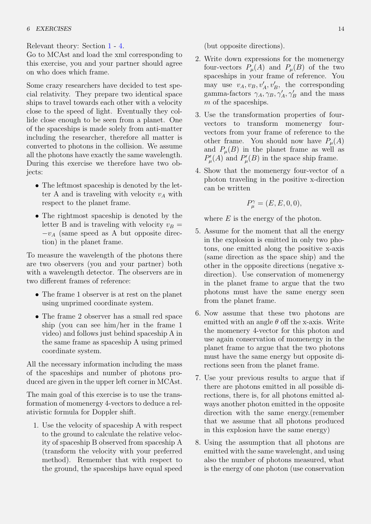Relevant theory: Section [1](#page-1-1) - [4.](#page-7-3)

Go to MCAst and load the xml corresponding to this exercise, you and your partner should agree on who does which frame.

Some crazy researchers have decided to test special relativity. They prepare two identical space ships to travel towards each other with a velocity close to the speed of light. Eventually they collide close enough to be seen from a planet. One of the spaceships is made solely from anti-matter including the researcher, therefore all matter is converted to photons in the collision. We assume all the photons have exactly the same wavelength. During this exercise we therefore have two objects:

- The leftmost spaceship is denoted by the letter A and is traveling with velocity  $v_A$  with respect to the planet frame.
- The rightmost spaceship is denoted by the letter B and is traveling with velocity  $v_B =$  $-v_A$  (same speed as A but opposite direction) in the planet frame.

To measure the wavelength of the photons there are two observers (you and your partner) both with a wavelength detector. The observers are in two different frames of reference:

- The frame 1 observer is at rest on the planet using unprimed coordinate system.
- The frame 2 observer has a small red space ship (you can see him/her in the frame 1 video) and follows just behind spaceship A in the same frame as spaceship A using primed coordinate system.

All the necessary information including the mass of the spaceships and number of photons produced are given in the upper left corner in MCAst.

The main goal of this exercise is to use the transformation of momenergy 4-vectors to deduce a relativistic formula for Doppler shift.

1. Use the velocity of spaceship A with respect to the ground to calculate the relative velocity of spaceship B observed from spaceship A (transform the velocity with your preferred method). Remember that with respect to the ground, the spaceships have equal speed (but opposite directions).

- 2. Write down expressions for the momenergy four-vectors  $P_\mu(A)$  and  $P_\mu(B)$  of the two spaceships in your frame of reference. You may use  $v_A, v_B, v'_A, v'_B$ , the corresponding gamma-factors  $\gamma_A, \gamma_B, \gamma_A', \gamma_B'$  and the mass m of the spaceships.
- 3. Use the transformation properties of fourvectors to transform momenergy fourvectors from your frame of reference to the other frame. You should now have  $P_\mu(A)$ and  $P_{\mu}(B)$  in the planet frame as well as  $P'_{\mu}(A)$  and  $P'_{\mu}(B)$  in the space ship frame.
- 4. Show that the momenergy four-vector of a photon traveling in the positive x-direction can be written

$$
P_{\mu}^{\gamma} = (E, E, 0, 0),
$$

where  $E$  is the energy of the photon.

- 5. Assume for the moment that all the energy in the explosion is emitted in only two photons, one emitted along the positive x-axis (same direction as the space ship) and the other in the opposite directions (negative xdirection). Use conservation of momenergy in the planet frame to argue that the two photons must have the same energy seen from the planet frame.
- 6. Now assume that these two photons are emitted with an angle  $\theta$  off the x-axis. Write the momenery 4-vector for this photon and use again conservation of momenergy in the planet frame to argue that the two photons must have the same energy but opposite directions seen from the planet frame.
- 7. Use your previous results to argue that if there are photons emitted in all possible directions, there is, for all photons emitted always another photon emitted in the opposite direction with the same energy.(remember that we assume that all photons produced in this explosion have the same energy)
- 8. Using the assumption that all photons are emitted with the same wavelenght, and using also the number of photons measured, what is the energy of one photon (use conservation